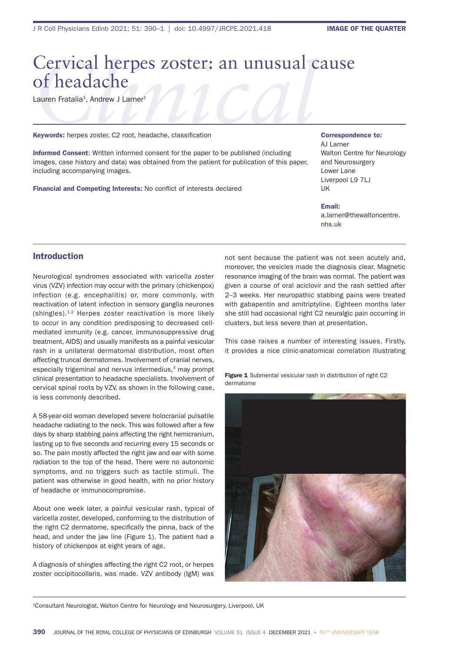## Cervical herpes zoster: an unusual cause of headache

Lauren Fratalia<sup>1</sup>, Andrew J Larner<sup>1</sup>

Keywords: herpes zoster, C2 root, headache, classification

Informed Consent: Written informed consent for the paper to be published (including images, case history and data) was obtained from the patient for publication of this paper, including accompanying images.

Financial and Competing Interests: No conflict of interests declared

Correspondence to:

AJ Larner Walton Centre for Neurology and Neurosurgery Lower Lane Liverpool L9 7LJ UK

Email:

a.larner@thewaltoncentre. nhs.uk

## Introduction

Neurological syndromes associated with varicella zoster virus (VZV) infection may occur with the primary (chickenpox) infection (e.g. encephalitis) or, more commonly, with reactivation of latent infection in sensory ganglia neurones (shingles).1,2 Herpes zoster reactivation is more likely to occur in any condition predisposing to decreased cellmediated immunity (e.g. cancer, immunosuppressive drug treatment, AIDS) and usually manifests as a painful vesicular rash in a unilateral dermatomal distribution, most often affecting truncal dermatomes. Involvement of cranial nerves, especially trigeminal and nervus intermedius.<sup>3</sup> may prompt clinical presentation to headache specialists. Involvement of cervical spinal roots by VZV, as shown in the following case, is less commonly described.

A 58-year-old woman developed severe holocranial pulsatile headache radiating to the neck. This was followed after a few days by sharp stabbing pains affecting the right hemicranium, lasting up to five seconds and recurring every 15 seconds or so. The pain mostly affected the right jaw and ear with some radiation to the top of the head. There were no autonomic symptoms, and no triggers such as tactile stimuli. The patient was otherwise in good health, with no prior history of headache or immunocompromise.

About one week later, a painful vesicular rash, typical of varicella zoster, developed, conforming to the distribution of the right C2 dermatome, specifically the pinna, back of the head, and under the jaw line (Figure 1). The patient had a history of chickenpox at eight years of age.

A diagnosis of shingles affecting the right C2 root, or herpes zoster occipitocollaris, was made. VZV antibody (IgM) was not sent because the patient was not seen acutely and, moreover, the vesicles made the diagnosis clear. Magnetic resonance imaging of the brain was normal. The patient was given a course of oral aciclovir and the rash settled after 2–3 weeks. Her neuropathic stabbing pains were treated with gabapentin and amitriptyline. Eighteen months later she still had occasional right C2 neuralgic pain occurring in clusters, but less severe than at presentation.

This case raises a number of interesting issues. Firstly, it provides a nice clinic-anatomical correlation illustrating

Figure 1 Submental vesicular rash in distribution of right C2 dermatome



1Consultant Neurologist, Walton Centre for Neurology and Neurosurgery, Liverpool, UK